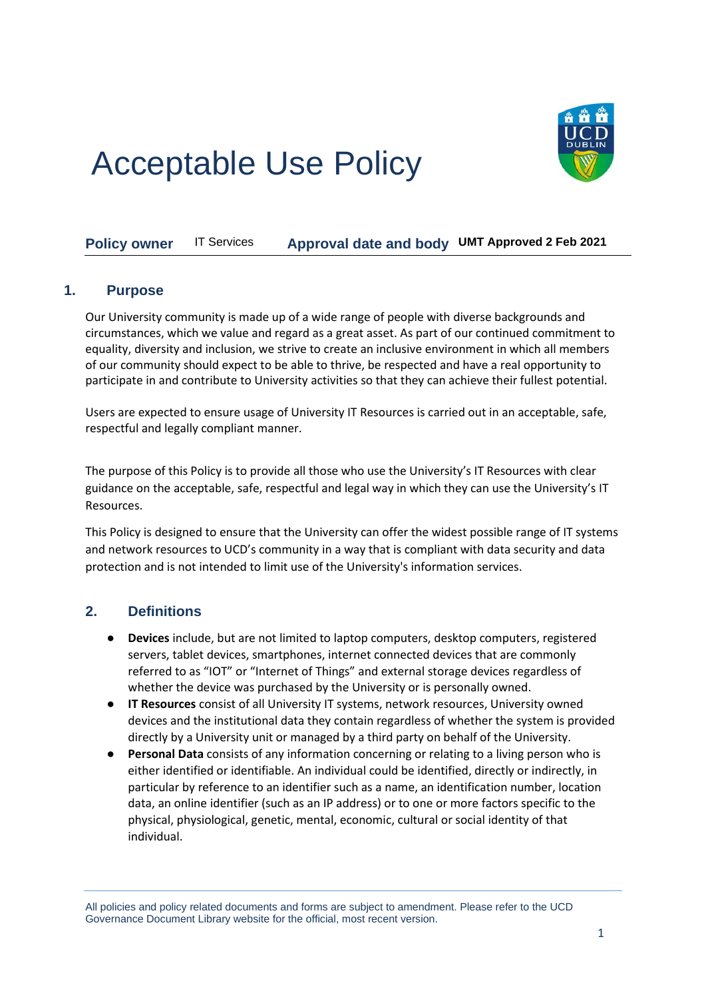# Acceptable Use Policy



**Policy owner** IT Services **Approval date and body UMT Approved 2 Feb 2021**

## **1. Purpose**

Our University community is made up of a wide range of people with diverse backgrounds and circumstances, which we value and regard as a great asset. As part of our continued commitment to equality, diversity and inclusion, we strive to create an inclusive environment in which all members of our community should expect to be able to thrive, be respected and have a real opportunity to participate in and contribute to University activities so that they can achieve their fullest potential.

Users are expected to ensure usage of University IT Resources is carried out in an acceptable, safe, respectful and legally compliant manner.

The purpose of this Policy is to provide all those who use the University's IT Resources with clear guidance on the acceptable, safe, respectful and legal way in which they can use the University's IT Resources.

This Policy is designed to ensure that the University can offer the widest possible range of IT systems and network resources to UCD's community in a way that is compliant with data security and data protection and is not intended to limit use of the University's information services.

# **2. Definitions**

- **Devices** include, but are not limited to laptop computers, desktop computers, registered servers, tablet devices, smartphones, internet connected devices that are commonly referred to as "IOT" or "Internet of Things" and external storage devices regardless of whether the device was purchased by the University or is personally owned.
- **IT Resources** consist of all University IT systems, network resources, University owned devices and the institutional data they contain regardless of whether the system is provided directly by a University unit or managed by a third party on behalf of the University.
- **Personal Data** consists of any information concerning or relating to a living person who is either identified or identifiable. An individual could be identified, directly or indirectly, in particular by reference to an identifier such as a name, an identification number, location data, an online identifier (such as an IP address) or to one or more factors specific to the physical, physiological, genetic, mental, economic, cultural or social identity of that individual.

All policies and policy related documents and forms are subject to amendment. Please refer to the UCD Governance Document Library website for the official, most recent version.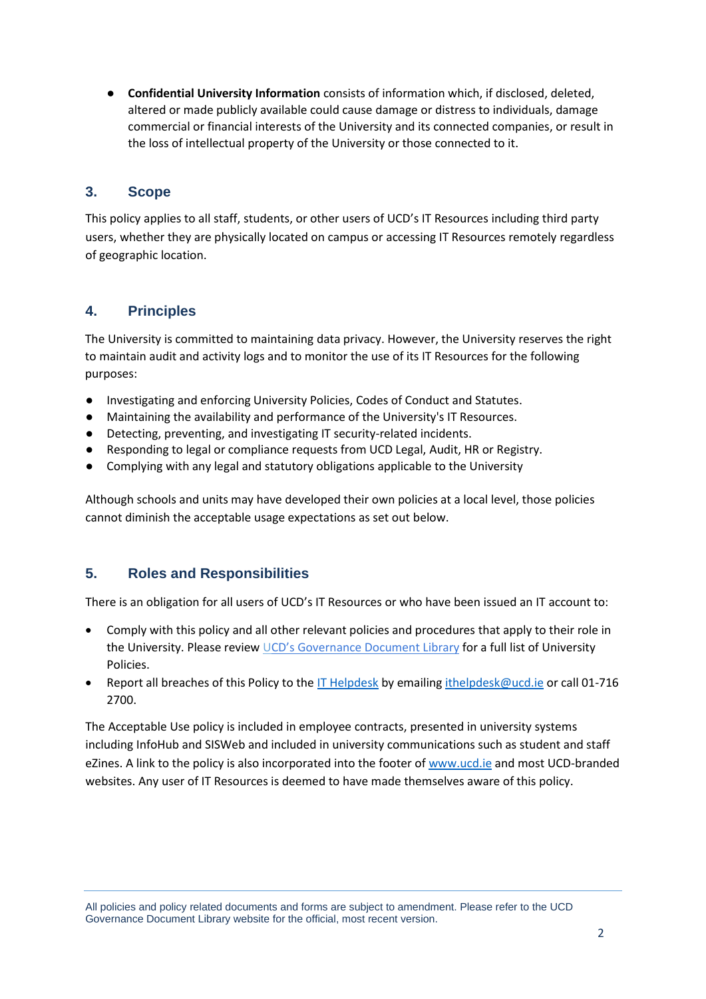● **Confidential University Information** consists of information which, if disclosed, deleted, altered or made publicly available could cause damage or distress to individuals, damage commercial or financial interests of the University and its connected companies, or result in the loss of intellectual property of the University or those connected to it.

# **3. Scope**

This policy applies to all staff, students, or other users of UCD's IT Resources including third party users, whether they are physically located on campus or accessing IT Resources remotely regardless of geographic location.

# **4. Principles**

The University is committed to maintaining data privacy. However, the University reserves the right to maintain audit and activity logs and to monitor the use of its IT Resources for the following purposes:

- Investigating and enforcing University Policies, Codes of Conduct and Statutes.
- Maintaining the availability and performance of the University's IT Resources.
- Detecting, preventing, and investigating IT security-related incidents.
- Responding to legal or compliance requests from UCD Legal, Audit, HR or Registry.
- Complying with any legal and statutory obligations applicable to the University

Although schools and units may have developed their own policies at a local level, those policies cannot diminish the acceptable usage expectations as set out below.

# **5. Roles and Responsibilities**

There is an obligation for all users of UCD's IT Resources or who have been issued an IT account to:

- Comply with this policy and all other relevant policies and procedures that apply to their role in the University. Please revie[w U](https://sisweb.ucd.ie/usis/W_HU_MENU.P_DISPLAY_MENU?p_menu=GD-DOCLIB)[CD's Governance Document Library](https://sisweb.ucd.ie/usis/W_HU_MENU.P_DISPLAY_MENU?p_menu=GD-DOCLIB) for a full list of University Policies.
- Report all breaches of this Policy to the [IT Helpdesk](https://www.ucd.ie/itservices/ourservices/advicesupportconsultancy/helpdeskitcentres/) by emailin[g ithelpdesk@ucd.ie](mailto:ithelpdesk@ucd.ie) or call 01-716 2700.

The Acceptable Use policy is included in employee contracts, presented in university systems including InfoHub and SISWeb and included in university communications such as student and staff eZines. A link to the policy is also incorporated into the footer o[f www.ucd.ie](http://www.ucd.ie/) and most UCD-branded websites. Any user of IT Resources is deemed to have made themselves aware of this policy.

All policies and policy related documents and forms are subject to amendment. Please refer to the UCD Governance Document Library website for the official, most recent version.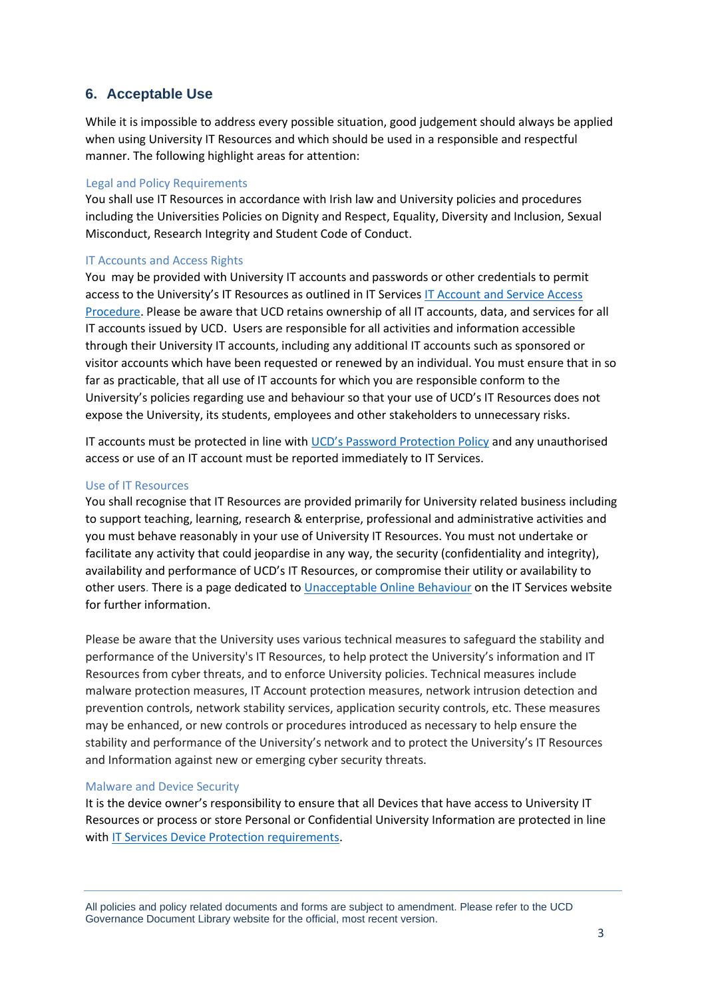## **6. Acceptable Use**

While it is impossible to address every possible situation, good judgement should always be applied when using University IT Resources and which should be used in a responsible and respectful manner. The following highlight areas for attention:

#### Legal and Policy Requirements

You shall use IT Resources in accordance with Irish law and University policies and procedures including the Universities Policies on Dignity and Respect, Equality, Diversity and Inclusion, Sexual Misconduct, Research Integrity and Student Code of Conduct.

#### IT Accounts and Access Rights

You may be provided with University IT accounts and passwords or other credentials to permit access to the University's IT Resources as outlined in IT Services [IT Account and Service Access](https://www.ucd.ie/itservices/t4media/IT%20Services%20Access%20Procedures.pdf)  [Procedure.](https://www.ucd.ie/itservices/t4media/IT%20Services%20Access%20Procedures.pdf) Please be aware that UCD retains ownership of all IT accounts, data, and services for all IT accounts issued by UCD. Users are responsible for all activities and information accessible through their University IT accounts, including any additional IT accounts such as sponsored or visitor accounts which have been requested or renewed by an individual. You must ensure that in so far as practicable, that all use of IT accounts for which you are responsible conform to the University's policies regarding use and behaviour so that your use of UCD's IT Resources does not expose the University, its students, employees and other stakeholders to unnecessary risks.

IT accounts must be protected in line with [UCD's Password Protection Policy](https://sisweb.ucd.ie/usis/!W_HU_MENU.P_PUBLISH?p_tag=GD-DOCLAND&ID=182) and any unauthorised access or use of an IT account must be reported immediately to IT Services.

#### Use of IT Resources

You shall recognise that IT Resources are provided primarily for University related business including to support teaching, learning, research & enterprise, professional and administrative activities and you must behave reasonably in your use of University IT Resources. You must not undertake or facilitate any activity that could jeopardise in any way, the security (confidentiality and integrity), availability and performance of UCD's IT Resources, or compromise their utility or availability to other users. There is a page dedicated to [Unacceptable Online Behaviour](https://www.ucd.ie/itservices/ourservices/security/unacceptableuse/) on the IT Services website for further information.

Please be aware that the University uses various technical measures to safeguard the stability and performance of the University's IT Resources, to help protect the University's information and IT Resources from cyber threats, and to enforce University policies. Technical measures include malware protection measures, IT Account protection measures, network intrusion detection and prevention controls, network stability services, application security controls, etc. These measures may be enhanced, or new controls or procedures introduced as necessary to help ensure the stability and performance of the University's network and to protect the University's IT Resources and Information against new or emerging cyber security threats.

#### Malware and Device Security

It is the device owner's responsibility to ensure that all Devices that have access to University IT Resources or process or store Personal or Confidential University Information are protected in line with [IT Services Device Protection requirements.](https://www.ucd.ie/itservices/ourservices/security/protectingyourdevice/)

All policies and policy related documents and forms are subject to amendment. Please refer to the UCD Governance Document Library website for the official, most recent version.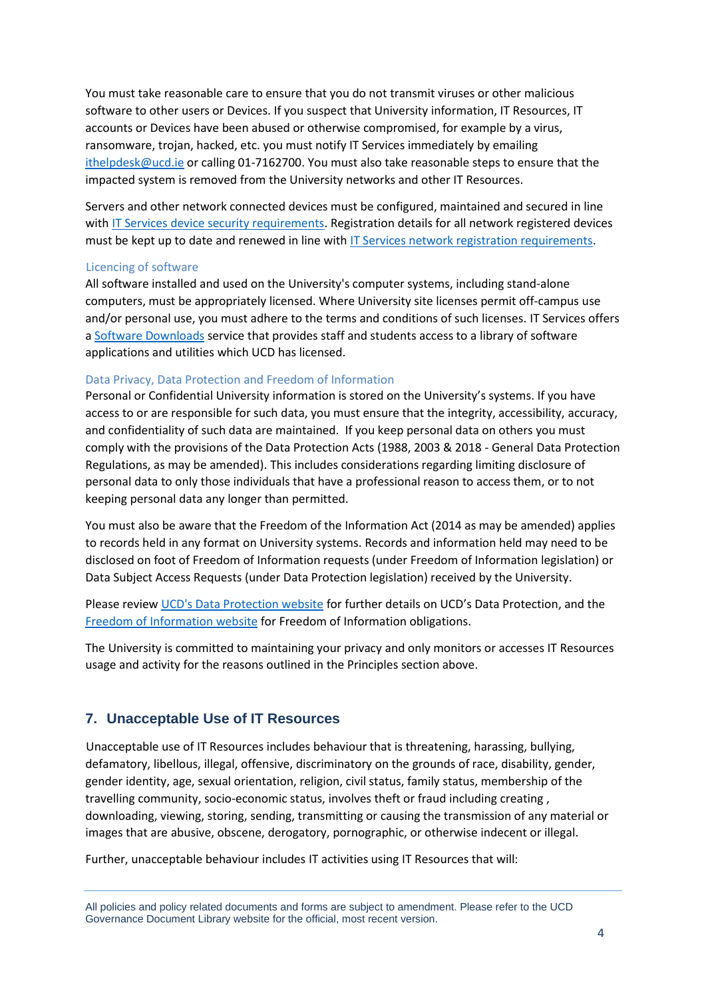You must take reasonable care to ensure that you do not transmit viruses or other malicious software to other users or Devices. If you suspect that University information, IT Resources, IT accounts or Devices have been abused or otherwise compromised, for example by a virus, ransomware, trojan, hacked, etc. you must notify IT Services immediately by emailing [ithelpdesk@ucd.ie](mailto:ithelpdesk@ucd.ie) or calling 01-7162700. You must also take reasonable steps to ensure that the impacted system is removed from the University networks and other IT Resources.

Servers and other network connected devices must be configured, maintained and secured in line with [IT Services device security requirements.](https://www.ucd.ie/itservices/ourservices/security/protectingyourdevice/) Registration details for all network registered devices must be kept up to date and renewed in line with [IT Services network registration requirements.](https://www.ucd.ie/itservices/ourservices/getconnected/registeryourdeviceonthenetwork/)

#### Licencing of software

All software installed and used on the University's computer systems, including stand‐alone computers, must be appropriately licensed. Where University site licenses permit off‐campus use and/or personal use, you must adhere to the terms and conditions of such licenses. IT Services offers a [Software Downloads](https://www.ucd.ie/itservices/ourservices/software/softwaredownloads/) service that provides staff and students access to a library of software applications and utilities which UCD has licensed.

#### Data Privacy, Data Protection and Freedom of Information

Personal or Confidential University information is stored on the University's systems. If you have access to or are responsible for such data, you must ensure that the integrity, accessibility, accuracy, and confidentiality of such data are maintained. If you keep personal data on others you must comply with the provisions of the Data Protection Acts (1988, 2003 & 2018 - General Data Protection Regulations, as may be amended). This includes considerations regarding limiting disclosure of personal data to only those individuals that have a professional reason to access them, or to not keeping personal data any longer than permitted.

You must also be aware that the Freedom of the Information Act (2014 as may be amended) applies to records held in any format on University systems. Records and information held may need to be disclosed on foot of Freedom of Information requests (under Freedom of Information legislation) or Data Subject Access Requests (under Data Protection legislation) received by the University.

Please review [UCD's Data Protection website](https://www.ucd.ie/gdpr/) for further details on UCD's Data Protection, and the [Freedom of Information website](http://www.ucd.ie/foi) for Freedom of Information obligations.

The University is committed to maintaining your privacy and only monitors or accesses IT Resources usage and activity for the reasons outlined in the Principles section above.

### **7. Unacceptable Use of IT Resources**

Unacceptable use of IT Resources includes behaviour that is threatening, harassing, bullying, defamatory, libellous, illegal, offensive, discriminatory on the grounds of race, disability, gender, gender identity, age, sexual orientation, religion, civil status, family status, membership of the travelling community, socio-economic status, involves theft or fraud including creating , downloading, viewing, storing, sending, transmitting or causing the transmission of any material or images that are abusive, obscene, derogatory, pornographic, or otherwise indecent or illegal.

Further, unacceptable behaviour includes IT activities using IT Resources that will:

All policies and policy related documents and forms are subject to amendment. Please refer to the UCD Governance Document Library website for the official, most recent version.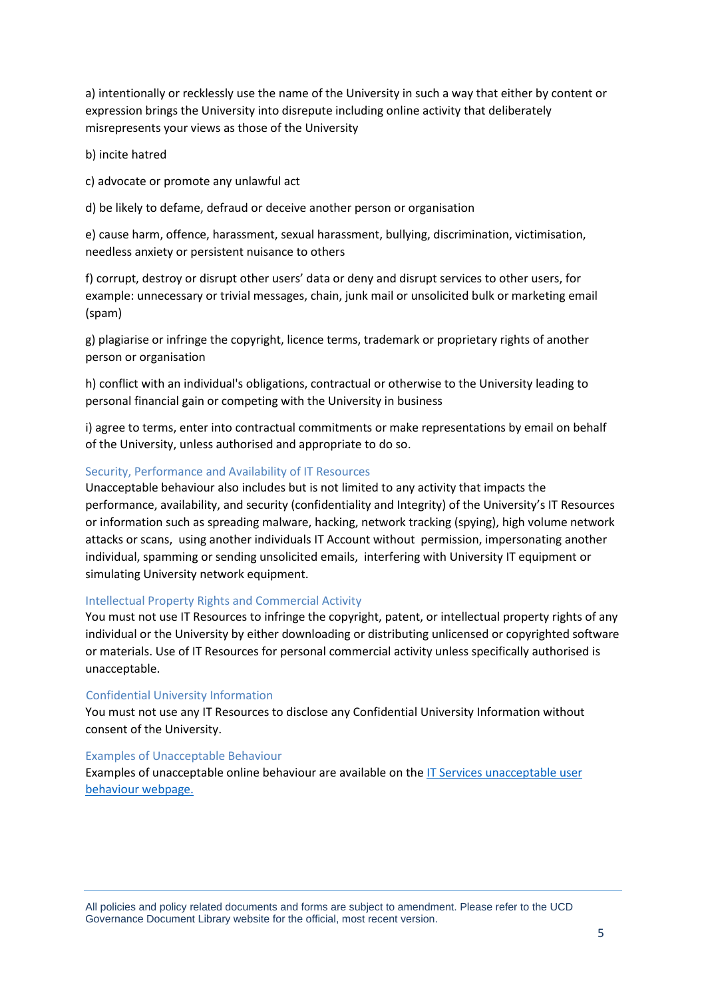a) intentionally or recklessly use the name of the University in such a way that either by content or expression brings the University into disrepute including online activity that deliberately misrepresents your views as those of the University

b) incite hatred

c) advocate or promote any unlawful act

d) be likely to defame, defraud or deceive another person or organisation

e) cause harm, offence, harassment, sexual harassment, bullying, discrimination, victimisation, needless anxiety or persistent nuisance to others

f) corrupt, destroy or disrupt other users' data or deny and disrupt services to other users, for example: unnecessary or trivial messages, chain, junk mail or unsolicited bulk or marketing email (spam)

g) plagiarise or infringe the copyright, licence terms, trademark or proprietary rights of another person or organisation

h) conflict with an individual's obligations, contractual or otherwise to the University leading to personal financial gain or competing with the University in business

i) agree to terms, enter into contractual commitments or make representations by email on behalf of the University, unless authorised and appropriate to do so.

#### Security, Performance and Availability of IT Resources

Unacceptable behaviour also includes but is not limited to any activity that impacts the performance, availability, and security (confidentiality and Integrity) of the University's IT Resources or information such as spreading malware, hacking, network tracking (spying), high volume network attacks or scans, using another individuals IT Account without permission, impersonating another individual, spamming or sending unsolicited emails, interfering with University IT equipment or simulating University network equipment.

#### Intellectual Property Rights and Commercial Activity

You must not use IT Resources to infringe the copyright, patent, or intellectual property rights of any individual or the University by either downloading or distributing unlicensed or copyrighted software or materials. Use of IT Resources for personal commercial activity unless specifically authorised is unacceptable.

#### Confidential University Information

You must not use any IT Resources to disclose any Confidential University Information without consent of the University.

#### Examples of Unacceptable Behaviour

Examples of unacceptable online behaviour are available on th[e IT Services unacceptable user](https://www.ucd.ie/itservices/ourservices/security/unacceptableuse/)  [behaviour webpage.](https://www.ucd.ie/itservices/ourservices/security/unacceptableuse/)

All policies and policy related documents and forms are subject to amendment. Please refer to the UCD Governance Document Library website for the official, most recent version.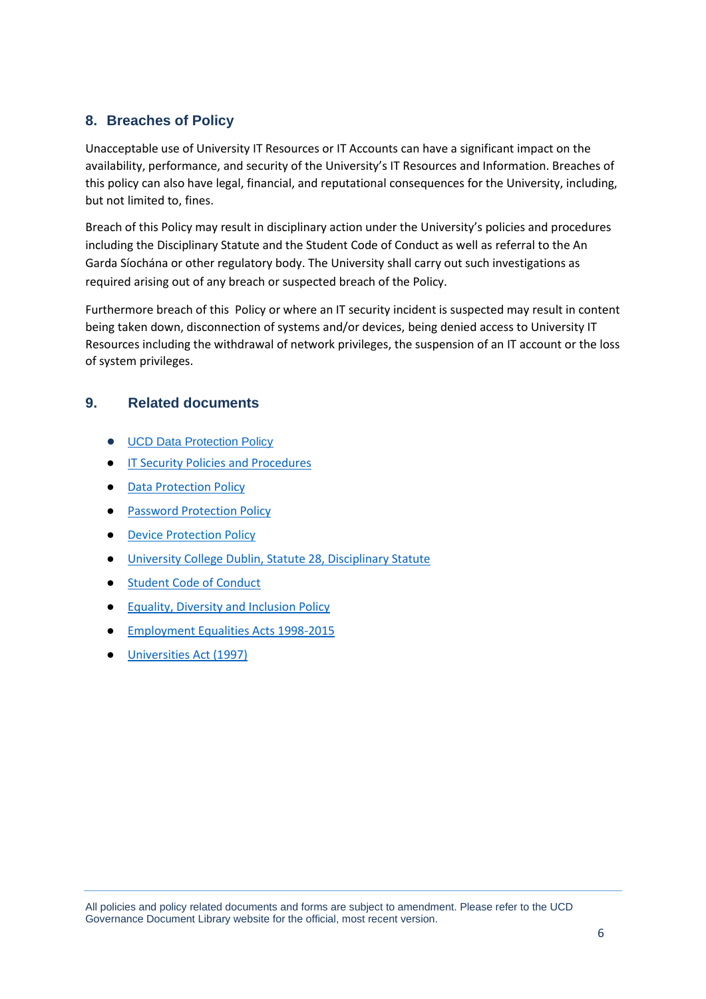# **8. Breaches of Policy**

Unacceptable use of University IT Resources or IT Accounts can have a significant impact on the availability, performance, and security of the University's IT Resources and Information. Breaches of this policy can also have legal, financial, and reputational consequences for the University, including, but not limited to, fines.

Breach of this Policy may result in disciplinary action under the University's policies and procedures including the Disciplinary Statute and the Student Code of Conduct as well as referral to the An Garda Síochána or other regulatory body. The University shall carry out such investigations as required arising out of any breach or suspected breach of the Policy.

Furthermore breach of this Policy or where an IT security incident is suspected may result in content being taken down, disconnection of systems and/or devices, being denied access to University IT Resources including the withdrawal of network privileges, the suspension of an IT account or the loss of system privileges.

# **9. Related documents**

- [UCD Data Protection Policy](https://www.ucd.ie/gdpr/policiesprocedures/)
- [IT Security Policies and Procedures](https://www.ucd.ie/itservices/ourservices/security/policiesandprocedures/)
- [Data Protection Policy](https://www.ucd.ie/gdpr/policiesprocedures/)
- **[Password Protection Policy](https://sisweb.ucd.ie/usis/!W_HU_MENU.P_PUBLISH?p_tag=GD-DOCLAND&ID=182)**
- Device Protection Policy
- [University College Dublin, Statute 28, Disciplinary Statute](https://sisweb.ucd.ie/usis/!W_HU_MENU.P_PUBLISH?p_tag=GD-DOCLAND&ID=211)
- [Student Code of Conduct](https://sisweb.ucd.ie/usis/!W_HU_MENU.P_PUBLISH?p_tag=GD-DOCLAND&ID=221)
- [Equality, Diversity and Inclusion Policy](https://www.ucd.ie/equality/information/policies/)
- [Employment Equalities Acts 1998-2015](https://www.ucd.ie/equality/information/policies/)
- [Universities Act \(1997\)](https://sisweb.ucd.ie/usis/W_HU_MENU.P_DISPLAY_HELP?p_topic=289&p_parameters=3752D4F03ADF4F5116768847AB54D8230B2D5187179256606C82273AA9B2E534DD73FB98E3040685932BBA3E39AD10E3B8241747ABD75F06C6EBF5498B3B067CEDB270C13F73807DB7C9B42DF92549AA340CB393B809AA046146ECB9885F51EC7D78D0D35DFCBA22378A55A8081CC8DE7965A3DA67272BFB07ECA4699E54F2271F6B6359F617E808FF75137E13531C2E94C0F6D73BDE98CD606BB2347B3303C9B3B674DB9AEEC5FC9811EE1C3C1AD7955AEEDFB3F3CFA0D0333EF378D5D1696427A0BEA12E62F548EEBB317E549A51361EF646010D89DB0B5358E819E4448D5B767577B7FAC113B73C2CE08CF0A87C7EBB7EAFF6EE3B96BA27A1A620A1DE46F92C5332EBDEB3D62C97A44933DDD9135A80EFD12255DDAC3994262B4BE4654782FF1C8A6FEC1FAAFD7EA2547128C75CBF277E8BFC9C947E79D63C8849F989615E64066745CB72854EDBC0F80A55393CC6F8D3701C3578A6528B255FDD01631B4F0D46C4E45C3C350BDDF9FA8F213ED814C5C4D9575D7BC18A43700438292D08F78D38E4428CA49FE4F70AAE4DCDB1561BCEB21DE1236B6A25382D2D8B99B69A73C0E0D4ADB94C00DDDCE7805511A8D9661E8F52C1AB96F4109A8FC8996B05312889D6B860C86FC27DCF78CB41D422E91F6E8DE16FEC692BAAB98239699827772C615F9A385A8553ACCDF00D06FC59DB251F69F647F523E28E8B68306190EAB30481AE8BF54473324658CF448248A68E3C8753090ED71DA8CC9B50AA415B5D7FDB4C8E73A0FD131CEC5DA3111EA21A688F602D7DF233EEB3093E40FAE3C015913A7AF982BB54CD50FBA43585548F696D0E4594F9E67682B0AD55200E38287DCA001BFBDE71467D2A491BB7F88BDCB4D7D73F5E66068FFD3A2AF27FC323940D3DE885A4343801F82E9DFA935DB1A700EBCA7A166AB75A58DD4097C619E5FE24AD83F8D0923E56E0E8105FB00F31A947C577E31471D3AC70558F26EAD36D1504FE83A001BD831F1EE801BC3D4BB7D4834F15)